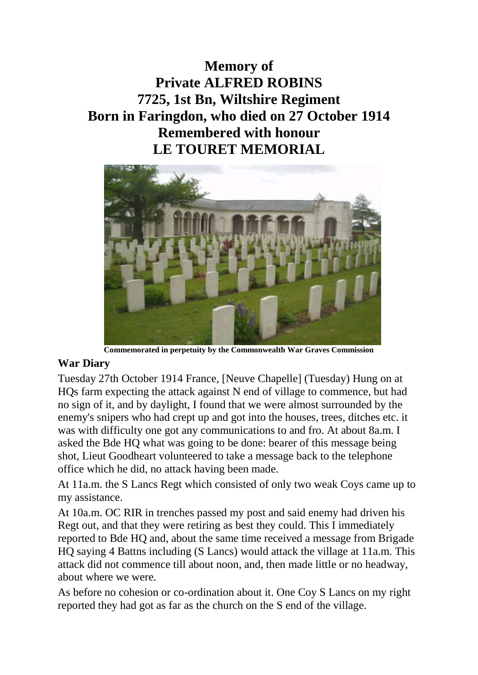## **Memory of Private ALFRED ROBINS 7725, 1st Bn, Wiltshire Regiment Born in Faringdon, who died on 27 October 1914 Remembered with honour LE TOURET MEMORIAL**



**Commemorated in perpetuity by the Commonwealth War Graves Commission** 

## **War Diary**

Tuesday 27th October 1914 France, [Neuve Chapelle] (Tuesday) Hung on at HQs farm expecting the attack against N end of village to commence, but had no sign of it, and by daylight, I found that we were almost surrounded by the enemy's snipers who had crept up and got into the houses, trees, ditches etc. it was with difficulty one got any communications to and fro. At about 8a.m. I asked the Bde HQ what was going to be done: bearer of this message being shot, Lieut Goodheart volunteered to take a message back to the telephone office which he did, no attack having been made.

At 11a.m. the S Lancs Regt which consisted of only two weak Coys came up to my assistance.

At 10a.m. OC RIR in trenches passed my post and said enemy had driven his Regt out, and that they were retiring as best they could. This I immediately reported to Bde HQ and, about the same time received a message from Brigade HQ saying 4 Battns including (S Lancs) would attack the village at 11a.m. This attack did not commence till about noon, and, then made little or no headway, about where we were.

As before no cohesion or co-ordination about it. One Coy S Lancs on my right reported they had got as far as the church on the S end of the village.